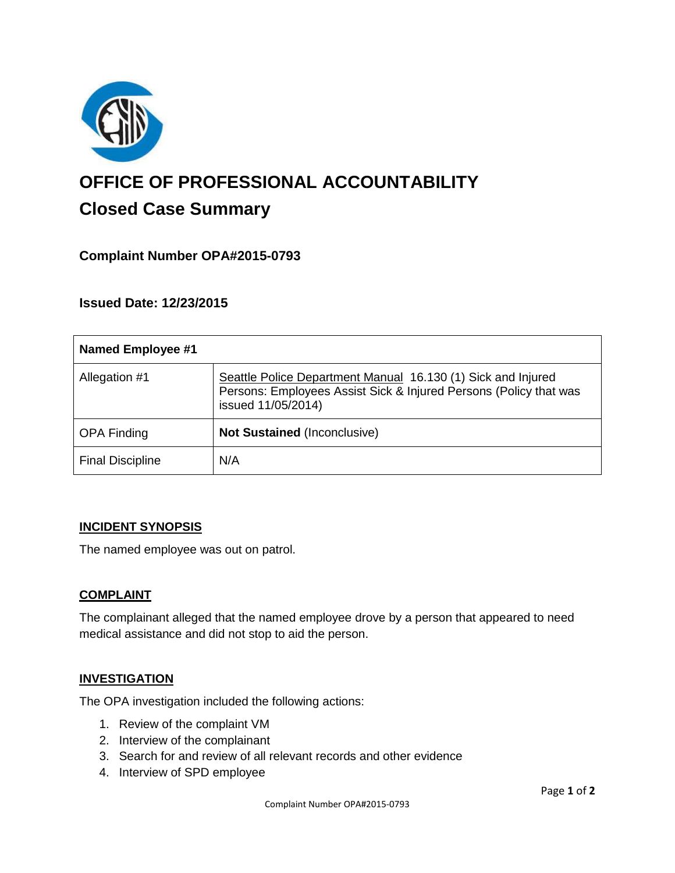

# **OFFICE OF PROFESSIONAL ACCOUNTABILITY Closed Case Summary**

## **Complaint Number OPA#2015-0793**

**Issued Date: 12/23/2015**

| <b>Named Employee #1</b> |                                                                                                                                                         |
|--------------------------|---------------------------------------------------------------------------------------------------------------------------------------------------------|
| Allegation #1            | Seattle Police Department Manual 16.130 (1) Sick and Injured<br>Persons: Employees Assist Sick & Injured Persons (Policy that was<br>issued 11/05/2014) |
| <b>OPA Finding</b>       | <b>Not Sustained (Inconclusive)</b>                                                                                                                     |
| <b>Final Discipline</b>  | N/A                                                                                                                                                     |

#### **INCIDENT SYNOPSIS**

The named employee was out on patrol.

#### **COMPLAINT**

The complainant alleged that the named employee drove by a person that appeared to need medical assistance and did not stop to aid the person.

#### **INVESTIGATION**

The OPA investigation included the following actions:

- 1. Review of the complaint VM
- 2. Interview of the complainant
- 3. Search for and review of all relevant records and other evidence
- 4. Interview of SPD employee